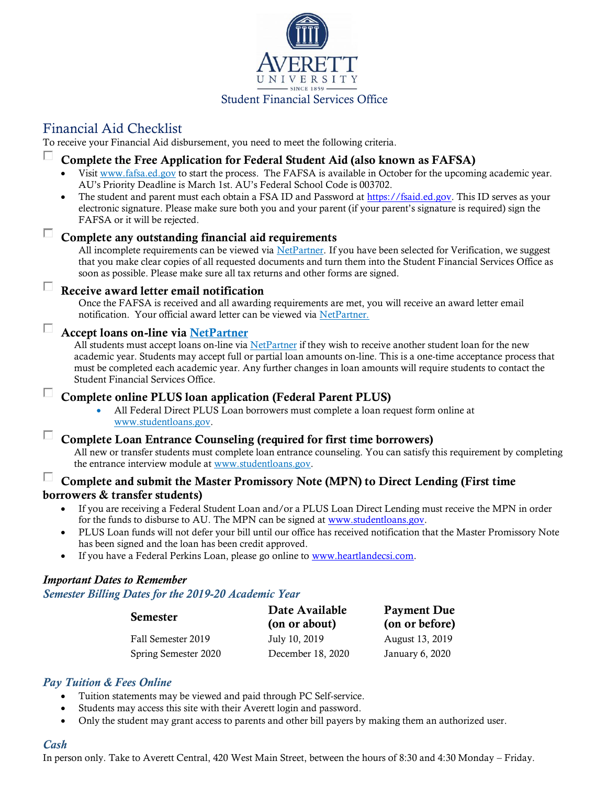

## Student Financial Services Office

# Financial Aid Checklist

To receive your Financial Aid disbursement, you need to meet the following criteria.

#### П. Complete the Free Application for Federal Student Aid (also known as FAFSA)

- Visit [www.fafsa.ed.gov](http://www.fafsa.ed.gov/) to start the process. The FAFSA is available in October for the upcoming academic year. AU's Priority Deadline is March 1st. AU's Federal School Code is 003702.
- The student and parent must each obtain a FSA ID and Password at [https://fsaid.ed.gov.](https://fsaid.ed.gov/) This ID serves as your electronic signature. Please make sure both you and your parent (if your parent's signature is required) sign the FAFSA or it will be rejected.

# $\Box$  Complete any outstanding financial aid requirements

All incomplete requirements can be viewed via [NetPartner.](http://www.averett.edu/financial-aid/netpartner/) If you have been selected for Verification, we suggest that you make clear copies of all requested documents and turn them into the Student Financial Services Office as soon as possible. Please make sure all tax returns and other forms are signed.

#### $\Box$ Receive award letter email notification

Once the FAFSA is received and all awarding requirements are met, you will receive an award letter email notification. Your official award letter can be viewed via [NetPartner.](http://www.averett.edu/financial-aid/netpartner/)

### Accept loans on-line via [NetPartner](http://www.averett.edu/financial-aid/netpartner/)

All students must accept loans on-line via [NetPartner](http://www.averett.edu/financial-aid/netpartner/) if they wish to receive another student loan for the new academic year. Students may accept full or partial loan amounts on-line. This is a one-time acceptance process that must be completed each academic year. Any further changes in loan amounts will require students to contact the Student Financial Services Office.

#### $\Box$ Complete online PLUS loan application (Federal Parent PLUS)

• All Federal Direct PLUS Loan borrowers must complete a loan request form online at [www.studentloans.gov.](https://studentloans.gov/myDirectLoan/index.action)

#### $\Box$ Complete Loan Entrance Counseling (required for first time borrowers)

All new or transfer students must complete loan entrance counseling. You can satisfy this requirement by completing the entrance interview module at [www.studentloans.gov.](http://www.studentloans.gov/)

#### П. Complete and submit the Master Promissory Note (MPN) to Direct Lending (First time borrowers & transfer students)

- If you are receiving a Federal Student Loan and/or a PLUS Loan Direct Lending must receive the MPN in order for the funds to disburse to AU. The MPN can be signed at [www.studentloans.gov.](http://www.studentloans.gov/)
- PLUS Loan funds will not defer your bill until our office has received notification that the Master Promissory Note has been signed and the loan has been credit approved.
- If you have a Federal Perkins Loan, please go online to [www.heartlandecsi.com.](http://www.heartlandecsi.com/)

### *Important Dates to Remember*

### *Semester Billing Dates for the 2019-20 Academic Year*

| <b>Semester</b>      | Date Available<br>(on or about) | <b>Payment Due</b><br>(on or before) |
|----------------------|---------------------------------|--------------------------------------|
| Fall Semester 2019   | July 10, 2019                   | August 13, 2019                      |
| Spring Semester 2020 | December 18, 2020               | January 6, 2020                      |

### *Pay Tuition & Fees Online*

- Tuition statements may be viewed and paid through PC Self-service.
- Students may access this site with their Averett login and password.
- Only the student may grant access to parents and other bill payers by making them an authorized user.

#### *Cash*

П

In person only. Take to Averett Central, 420 West Main Street, between the hours of 8:30 and 4:30 Monday – Friday.